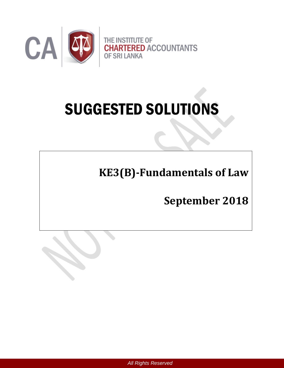

# SUGGESTED SOLUTIONS

**KE3(B)-Fundamentals of Law**

**September 2018**

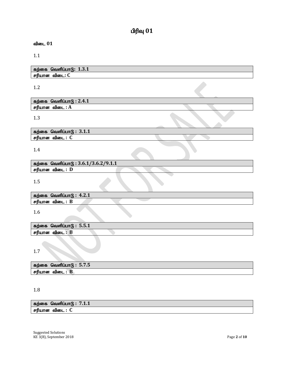1.1

| $\mathbf{a}$<br>கற்கை<br>்வெளிப்பா()<br>1.3.1<br>சரிய<br>பான<br>விடை: C |  |
|-------------------------------------------------------------------------|--|
|                                                                         |  |
|                                                                         |  |

## 1.2

| சர்ய<br>பான<br>ഖിത∟<br>: A |  |
|----------------------------|--|

1.3

| வெளிப்பா $(6: 3.1.1)$<br>கற்கை |  |  |  |  |
|--------------------------------|--|--|--|--|
| சரியான<br>விடை : C             |  |  |  |  |
|                                |  |  |  |  |

1.4

| கற்கை வெளிப்பாடு : $3.6.1/3.6.2/9.1.1$ |  |
|----------------------------------------|--|
| சரியான விடை : D                        |  |
|                                        |  |

1.5

| வெளிப்பாடு<br>கற்கை<br>4.2.1 |  |
|------------------------------|--|
| சரியான<br>விடை               |  |

1.6

| வெளிப்பாடு $: 5.5.1$<br>கற்கை |  |
|-------------------------------|--|
| சரியான<br>விடை :<br>D         |  |
|                               |  |

1.7

| - - -<br>வெளிப்பாடு :<br>கற்கை<br>.ა./.ა |  |
|------------------------------------------|--|
| . Р<br>சரியான<br>ഖിത∟                    |  |

# 1.8

**கற்கை வெளிப்பாடு : 7.1.1** சரியான விடை : C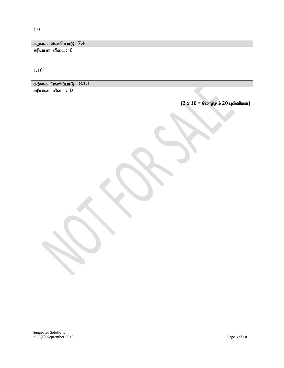1.9

| கற்கை வெளிப்பாடு : 7.4 |  |
|------------------------|--|
| சரியான விடை : C        |  |

1.10

| கற்கை வெளிப்பாடு : $8.1.1$ |  |
|----------------------------|--|
| சரியான விடை : D            |  |

 $(2 \times 10 =$  மொத்தம் 20 புள்ளிகள்)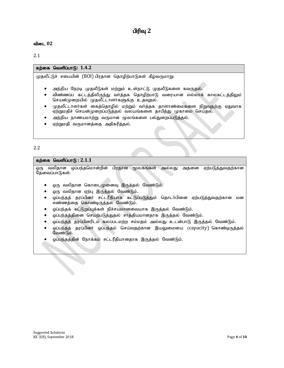## 2.1

## கற்கை வெளிப்பாடு: 1.4.2

முதலீட்டுச் சபையின் (BOI) பிரதான தொழிற்பாடுகள் கீழ்வருமாறு:

- அந்நிய நேரடி முதலீடுகள் மற்றும் உள்நாட்டு முதலீடுகளை கவருதல்.
- விண்ணப்ப கட்டத்திலிருந்து வா்த்தக தொழிற்பாடு வரையான எல்லாக் காலகட்டத்திலும் செயன்முறையில் முதலீட்டாளர்களுக்கு உதவுதல்.
- முதலீட்டாளா்கள் கைத்தொழில் மற்றும் வா்த்தக தாளாண்மைகளை நிறுவுதற்கு ஏதுவாக ஏற்றுமதிச் செயன்முறைப்படுத்தல் வலயங்களை தாபித்து முகாமை செய்தல்.
- அந்நிய நாணயமாற்று வருமான மூலங்களை பல்துறைப்படுத்தல்.
- ஏற்றுமதி வருமானத்தை அதிகரித்தல்.

## 2.2

## கற்கை வெளிப்பாடு : 2.1.1

ஒரு வலிதான ஒப்பந்தமொன்றின் பிரதான மூலகங்கள் அல்லது அதனை ஏற்படுத்துவதற்கான தேவைப்பாடுகள்:

- ஒரு வலிதான கொடைமுனைவு இருத்தல் வேண்டும்.
- ஒரு வலிதான ஏற்பு இருத்தல் வேண்டும்.
- ஒப்பந்தத் தரப்பினர் சட்டரீதியாக கட்டுப்படுத்தும் தொடா்பினை ஏற்படுத்துவதற்கான மன எண்ணத்தை கொண்டிருத்தல் வேண்டும்.
- ஒப்பந்தக் கட்டுறுப்புக்கள் நிச்சயமானவையாக இருத்தல் வேண்டும்.
- ஒப்பந்தத்தினை செயற்படுத்துதல் சாத்தியமானதாக இருத்தல் வேண்டும்.
- ஒப்பந்தத் தரப்பினரிடம் கலப்படமற்ற சம்மதம் அல்லது உடன்பாடு இருத்தல் வேண்டும்.
- ஓப்பந்தத் தரப்பினர் ஒப்பந்தம் செய்வதற்கான இயலுமையை (capacity) கொண்டிருத்தல் வேண்டும்.
- ஒப்பந்தத்தின் நோக்கம் சட்டரீதியானதாக இருத்தல் வேண்டும்.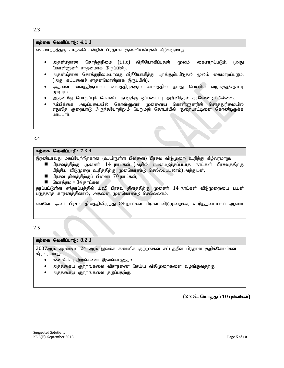#### கற்கை வெளிப்பாடு: 4.1.1

கைமாற்றத்தகு சாதனமொன்றின் பிரதான குணவியல்புகள் கீழ்வருமாறு:

- அதன்மீதான சொத்துரிமை (title) விநியோகிப்பதன் மூலம் கைமாறப்படும். (அது கொள்ளுனர் சாதனமாக இருப்பின்).
- அதன்மீதான சொத்துரிமையானது விநியோகித்து புறக்குறிப்பிடுதல் மூலம் கைமாறப்படும். (அது கட்டளைச் சாதனமொன்றாக இருப்பின்).
- அதனை வைத்திருப்பவா் வைத்திருக்கும் காலத்தில் தமது பெயரில் வழக்குத்தொடர முடியும்.
- ஆதன்மீது பொறுப்புக் கொண்ட நபருக்கு ஒப்படைப்பு அறிவித்தல் தரவேண்டியதில்லை.
- நம்பிக்கை அடிப்படையில் கொள்ளுனா் முன்னைய கொள்ளுனரின் சொத்துரிமையில் எதுவித குறைபாடு இருந்தபோதிலும் பெறுமதி தொடர்பில் குறைபாட்டினை கொண்டிருக்க  $L$ phi $L$ mm $\dot{L}$ .

## 2.4

கற்கை வெளிப்பாடு: 7.3.4 இரண்டாவது மகப்பேற்றிற்கான (உயிருள்ள பிள்ளை) பிரசவ விடுமுறை உரித்து கீழ்வரமாறு:  $\blacksquare$  பிரசவத்திற்கு முன்னர்  $14$  நாட்கள் (அதில் பயன்படுத்தப்படாத நாட்கள் பிரசவத்திற்கு பிந்திய விடுமுறை உரித்திற்கு முன்கொண்டு செல்லப்படலாம்) அத்துடன்,

- $\blacksquare$  பிரசவ தினத்திற்குப் பின்னர்  $70$  நாட்கள்;
- மொத்தம் =  $84$  நாட்கள்.

தரப்பட்டுள்ள சந்தா்ப்பத்தில் யஷி பிரசவ தினத்திற்கு முன்னா் 14 நாட்கள் விடுமுறையை பயன் படுத்தாத காரணத்தினால், அதனை முன்கொண்டு செல்லலாம்.

எனவே, அவா் பிரசவ தினத்திலிருந்து 84 நாட்கள் பிரசவ விடுமுறைக்கு உரித்துடையவா் ஆவாா்

## 2.5

## கற்கை வெளிப்பாடு: 8.2.1

 $2007$ ஆம் ஆண்டின்  $24$  ஆம் இலக்க கணனிக் குற்றங்கள் சட்டத்தின் பிரதான குறிக்கோள்கள் கீம்வருமாறு:

- கணனிக் குற்றங்களை இனங்காணுதல்
- அத்தகைய குற்றங்களை விசாரணை செய்ய விதிமுறைகளை வழங்குவதற்கு
- அத்தகைய குற்றங்களை தடுப்பதற்கு.

 $(2 \times 5 =$  மொத்தம் 10 புள்ளிகள்)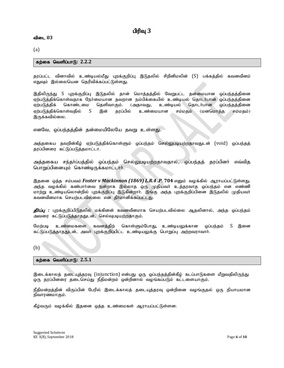(a)

## கற்கை வெளிப்பாடு: 2.2.2

தரப்பட்ட வினாவில் உண்டியல்மீது புறக்குறிப்பு இடுதலில் சிறினிமலின் (S) பக்கத்தில் கவனவீனம் எதுவும் இல்லையென தெரிவிக்கப்பட்டுள்ளது.

இதிலிருந்து S புறக்குறிப்பு இடுதலில் தான் மொத்தத்தில் வேறுபட்ட தன்மையான ஒப்பந்தத்தினை ஏற்படுத்திக்கொள்வதாக நேர்மையான தவறான நம்பிக்கையில் உண்டியல் தொடர்பான் ஒப்பந்தத்தினை<br>ஏற்படுத்திக் கொண்டமை தெளிவாகும். (அதாவது, உண்டியல் தொடர்பான ஒப்பந்தத்தினை ஏற்படுத்திக் கொண்டமை தெளிவாகும். (அதாவது, உண்டியல் தொடா்பான ஒப்பந்தத்தினை ஏற்படுத்திக்கொள்வதில் S இன் தரப்பில் உண்மையான சம்மதம் (மனமொத்த சம்மதம்) இருக்கவில்லை.

எனவே, ஒப்பந்தத்தின் தன்மையிலேயே தவறு உள்ளது.

அத்தகைய தவறின்கீழ் ஏற்படுத்திக்கொள்ளும் ஒப்பந்தம் செல்லுபடியற்றதாவதுடன் (void) ஒப்பந்தத் தரப்பினரை கட்டுப்படுத்தமாட்டா.

அத்தகைய சந்தா்ப்பத்தில் ஒப்பந்தம் செல்லுபடியற்றதாவதால், ஒப்பந்தத் தரப்பினா் எவ்வித பொறுப்பினையும் கொண்டிருக்கமாட்டார்.

இதனை ஒத்த சம்பவம் Foster v Mackinnon (1869) L.R.4 .P. 704 எனும் வழக்கில் ஆராயப்பட்டுள்ளது. அந்த வழக்கில் கண்பார்வை நன்றாக இல்லாத ஒரு முதியவர் உத்தரவாத ஒப்பந்தம் என எண்ணி மாற்று உண்டியலொன்றில் புறக்குறிப்பு இடுகின்றார். இங்கு அந்த புறக்குறிப்பினை இடுதலில் முதியவர் கவனவீனமாக செயற்படவில்லை என தீர்மானிக்கப்பட்டது.

*தீர்ப்பு :* புறக்குறிப்பிடுதலில் மக்கினன் கவனவீனமாக செயற்படவில்லை ஆதலினால், அந்த ஒப்பந்தம் அவரை கட்டுப்படுத்தாததுடன், செல்வுபடியற்றதாகும்.

மேற்படி உண்மைகளை கவனத்திற் கொள்ளும்போது, உண்டியலுக்கான ஒப்பந்தம் S இனை கட்டுப்படுத்தாததுடன், அவர் புறக்குறிப்பிட்ட உண்டியலுக்கு பொறுப்பு அற்றவராவார்.

(b)

#### கற்கை வெளிப்பாடு: 2.5.1

இடைக்காலத் தடையுத்தரவு (injunction) என்பது ஒரு ஒப்பந்தத்தின்கீழ் கடப்பாடுகளை மீறுவதிலிருந்து லரு தரப்பினரை தடைசெய்து நீதிமன்றம் ஒன்றினால் வமங்கப்படும் கட்டளையாகும்.

நீதிமன்றத்தின் விருப்பின் பேரில் இடைக்காலத் தடையுத்தரவு ஒன்றினை வழங்குதல் ஒரு நியாயமான நிவாரணமாகும்.

கீழ்வரும் வழக்கில் இதனை ஒத்த உண்மைகள் ஆராயப்பட்டுள்ளன:

Suggested Solutions KE 3(B), September 2018 **Page 6** of **10**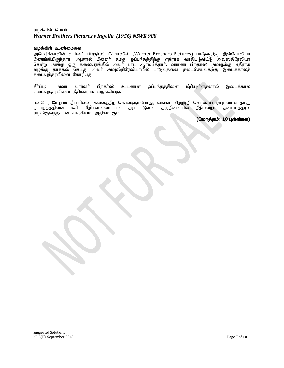## <u>வழக்கின் பெயர் :</u> *Warner Brothers Pictures v Ingolia (1956) NSWR 988*

#### <u>வழக்கின் உண்மைகள் :</u>

அமெரிக்காவின் வார்னர் பிறதர்ஸ் பிக்சர்ஸில் (Warner Brothers Pictures) பாடுவதற்கு இன்கோலியா இணங்கியிருந்தாா். ஆனால் பின்னா் தமது ஒப்பந்தத்திற்கு எதிராக வாதிட்டுவிட்டு அவுஸ்திரேலியா சென்று அங்கு ஒரு கலையரங்கில் அவா் பாட ஆரம்பித்தாா். வாா்னா் பிறதா்ஸ் அவருக்கு எதிராக வழக்கு தாக்கல் செய்து அவா் அவுஸ்திரேலியாவில் பாடுவதனை தடைசெய்வதற்கு இடைக்காலத் தடையுத்தரவினை கோரியது.

<u>தீா்ப்பு:</u> அவா் வாா்னா் பிறதா்ஸ் உடனான ஒப்பந்தத்தினை மீறியுள்ளதனால் இடைக்கால தடையுத்தரவினை நீதிமன்றம் வழங்கியது.

எனவே, மேற்படி தீா்ப்பினை கவனத்திற் கொள்ளும்போது, லங்கா லிற்றரறி சொசையட்டியுடனான தமது<br>ஒப்பந்தத்தினை சுகி மீறியுள்ளமையால் தரப்பட்டுள்ள தருநிலையில் நீதிமன்றம் தடையுத்தரவு <u>ஒப்பந்தத்தினை சுகி மீறியுள்ளமையால்</u> ்வழங்குவதற்கான சாத்தியம் அதிகமாகும

 $($ மொத்தம்: 10 புள்ளிகள்)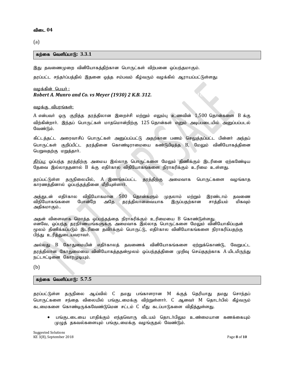(a)

#### கற்கை வெளிப்பாடு: 3.3.1

இது தவணைமுறை வினியோகத்திற்கான பொருட்கள் விற்பனை ஒப்பந்தமாகும்.

தரப்பட்ட சந்தா்ப்பத்தில் இதனை ஒத்த சம்பவம் கீழ்வரும் வழக்கில் ஆராயப்பட்டுள்ளது:

#### <u>வமக்கின் பெயர் :</u> *Robert A. Munro and Co. vs Meyer (1930) 2 K.B. 312.*

#### வமக்கு விபாங்கள்:

 $A$  என்பவர் ஒரு குறித்த தரத்திலான இறைச்சி மற்றும் எலும்பு உணவின்  $1,500$  தொன்களை  $B$  க்கு விற்கின்றார். இந்தப் பொருட்கள் மாதமொன்றிற்கு 125 தொன்கள் எனும் அடிப்படையில் அனுப்பப்படல் வேண்டும்.

கிட்டத்தட்ட அரைவாசிப் பொருட்கள் அனுப்பப்பட்டு அதற்கான பணம் செலுத்தப்பட்ட பின்னா் அந்தப் பொருட்கள் குறிப்பிட்ட தரத்தினை கொண்டிராமையை கண்டுபிடித்த B, மேலும் வினியோகத்தினை பெறுவதற்கு மறுத்தார்.

<u>கீர்ப்ப:</u> ஒப்பந்த தரத்திற்கு அமைய இல்லாத பொருட்களை மேலும் திணிக்கும் இடரினை ஏற்கணேடிய தேவை இல்லாததனால் B க்கு எதிர்கால விநியோகங்களை நிராகரிக்கும் உரிமை உள்ளது.

தரப்பட்டுள்ள தருநிலையில், A இணங்கப்பட்ட தரத்திற்கு அமைவாக பொருட்களை வழங்காத காரணத்தினால் ஒப்பந்தத்தினை மீறியுள்ளார்.

அத்துடன் எதிர்கால விநியோகமான 500 தொன்களும் முதலாம் மற்றும் இரண்டாம் தவணை<br>விநியோகங்களை போன்றே அதே தரத்திலானவையாக இருப்பதற்கான சாத்தியம் மிகவும் தரத்திலானவையாக அதிகமாகும்..

அதன் விளைவாக மொத்த ஒப்பந்தத்தை நிராகரிக்கும் உரிமையை B கொண்டுள்ளது. எனவே, ஒப்பந்த தரநிா்ணயங்களுக்கு அமைவாக இல்லாத பொருட்களை மேலும் வினியோகிப்பதன் மூலம் திணிக்கப்படும் இடரினை தவிா்க்கும் பொருட்டு, எதிா்கால வினியோகங்களை நிராகரிப்பதற்கு பிந்து உரித்துடையவராவர்.

அல்லது B கோதுமையின் எதிர்காலத் தவணைக் வினியோகங்களை ஏற்றுக்கொண்டு, வேறுபட்ட தரத்திலான கோதுமையை வினியோகத்ததன்மூலம் ஒப்பந்தத்தினை முறிவு செய்ததற்காக A யிடமிருந்து நட்டஈட்டினை கோரமுடியும்.

(b)

கற்கை வெளிப்பாடு: 5.7.5

தரப்பட்டுள்ள தருநிலை ஆய்வில் C தமது பங்காளரான M க்குத் தெரியாது தமது சொந்தப் பொருட்களை சந்தை விலையில் பங்குடமைக்கு விற்றுள்ளார். C ஆனவர் M தொடர்பில் கீழ்வரும் கடமைகளை கொண்டிருக்கவேண்டுமென சட்டம் C மீது கடப்பாடுகளை விதித்துள்ளது.

• பங்குடடையை பாதிக்கும் எந்தவொரு விடயம் தொடா்பிலும உண்மையான கணக்கையும் முழுத் தகவல்களையும் பங்குடமைக்கு வழங்குதல் வேண்டும்.

Suggested Solutions KE 3(B), September 2018 **Page 8** of **10 Page 8** of **10 Page 8** of **10**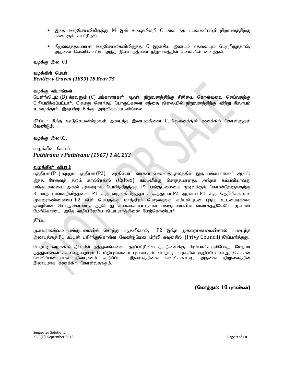- $\bullet$  இந்த ஊடுசெயலிலிருந்து  $M$  இன் சம்மதமின்றி  $C$  அடைந்த பயன்கள்பற்றி நிறுவனத்திற்கு கணக்குக் காட்டுதல்
- நிறுவனத்துடனான ஊடுசெயல்களிலிருந்து C இரகசிய இலாபம் எதனையும் பெற்றிருந்தால், அதனை வெளிக்காட்டி, அந்த இலாபத்தினை நிறுவனத்தின் கணக்கில் வைத்தல்.

வுமக்கு இல $01$ 

# <u>வமக்கின் பெயர் :</u> *Bentley v Craven (1853) 18 Beav.75*

#### வமக்கு விபாங்கள் $:$

பென்ற்லியும் (B) க்ரவனும் (C) பங்காளர்கள் ஆவர். நிறுவனத்திற்கு சீனியை கொள்வனவு செய்வதற்கு C நியமிக்கப்பட்டார். C தமது சொந்தப் பொருட்களை சந்தை விலையில் நிறுவனத்திற்கு விற்று இலாபம் உமைத்தார். இதுபற்றி B க்கு அறிவிக்கப்படவில்லை.

<u>கீர்ப்ப :</u> இந்த ஊடுசெயலின்மூலம் அடைந்த இலாபத்தினை C, நிறுவனத்தின் கணக்கிற் கொள்ளுதல் வேண்டும்.

வமக்கு இல $02$ .

# வழக்கின் பெயர்: *Pathirana v Pathirana (1967) 1 AC 233*

#### <u>வமக்கின் விபரம்</u>

பத்திரன (P1) மற்றும் பத்திரன (P2) ஆகியோர் வாகன சேவைத் தலத்தின் இரு பங்காளர்கள் ஆவர். இந்த சேவைத் தலம் கால்ரெக்ஸ் (Caltex) கம்பனிக்கு சொந்தமானது. அந்தக் கம்பனியானது பங்குடமையை அதன் முகவராக நியமித்திருந்தது. P2 பங்குடமையை முடிவுக்குக் கொண்டுவருவதற்கு 3 மாத முன்னறிவித்தலை P1 க்கு வழங்கியிருந்தார். அத்துடன் P2 ஆனவர் P1 க்கு தெரிவிக்காமல் முகவராண்மையை P2 வின் பெயருக்கு மாக்கிரம் பெறுவகற்கு கம்பனியுடன் புகிய உடன்படிக்கை ஒன்றினை செய்துகொண்டு, தற்போது கலைக்கப்பட்டுள்ள பங்குடமையின் வளாகத்திலேயே முன்னா் மேற்கொண்ட அதே வழியிலேயே வியாபாரத்தினை மேற்கொண்டார்

#### தீர்ப்பு:

முகவராண்மை பங்குடமையின் சொத்து ஆதலினால், P2 இந்த முகவராண்மையினால் அடைந்த இலாபத்தை P1 உடன் பகிர்ந்துகொள்ள வேண்டுமென பிரிவி கவுன்சில் (Privy Council) தீர்ப்பளித்தது.

மேற்படி வழக்கின் தீா்ப்பின் தத்துவங்களை, தரப்பட்டுள்ள தருநிலைக்கு பிரயோகிக்கும்போது, மேற்படி தத்துவங்கள் சகலவற்றையும் C மீறியுள்ளமை புலனாகும். மேற்படி வழக்கில் குறிப்பிட்டவாறு, Cக்கான வெளிப்படையான நிவாரணம் குறிப்பிட்ட இலாபத்தினை வெளிக்காட்டி, அதனை நிறுவனத்தின் இலாபமாக கணக்கிற் கொள்வதாகும்.

 $($ மொக்கம்: 10 பள்ளிகள்)